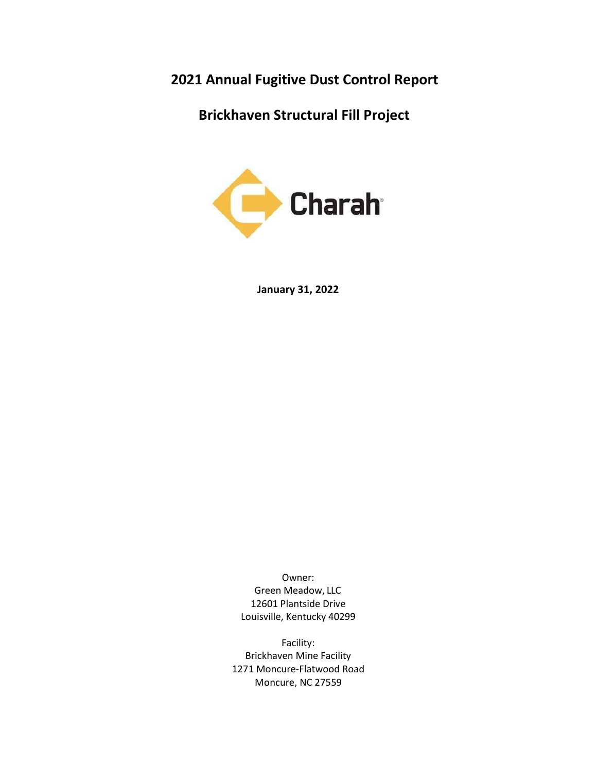202**1** Annual Fugitive Dust Control Report

Brickhaven Structural Fill Project



**January 31**, 202**2**

Owner: Green Meadow, LLC 12601 Plantside Drive Louisville, Kentucky 40299

Facility: Brickhaven Mine Facility 1271 Moncure‐Flatwood Road Moncure, NC 27559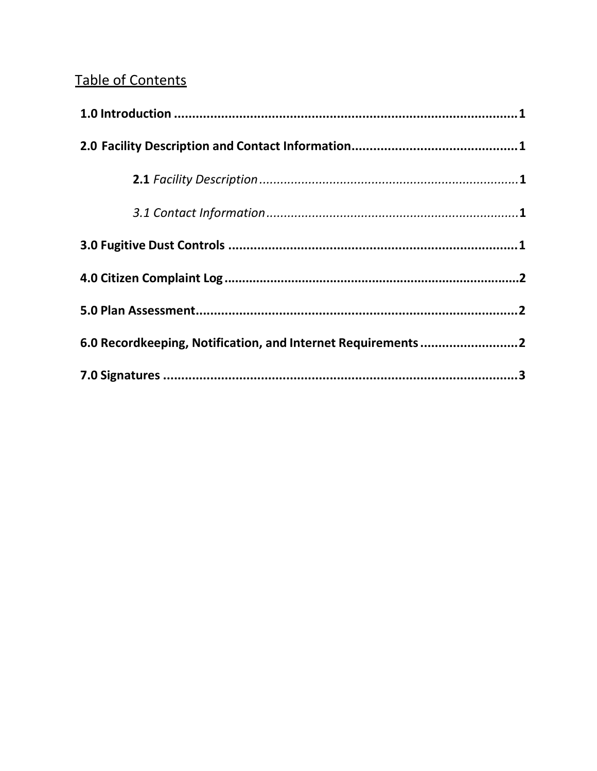# **Table of Contents**

| 6.0 Recordkeeping, Notification, and Internet Requirements2 |  |
|-------------------------------------------------------------|--|
|                                                             |  |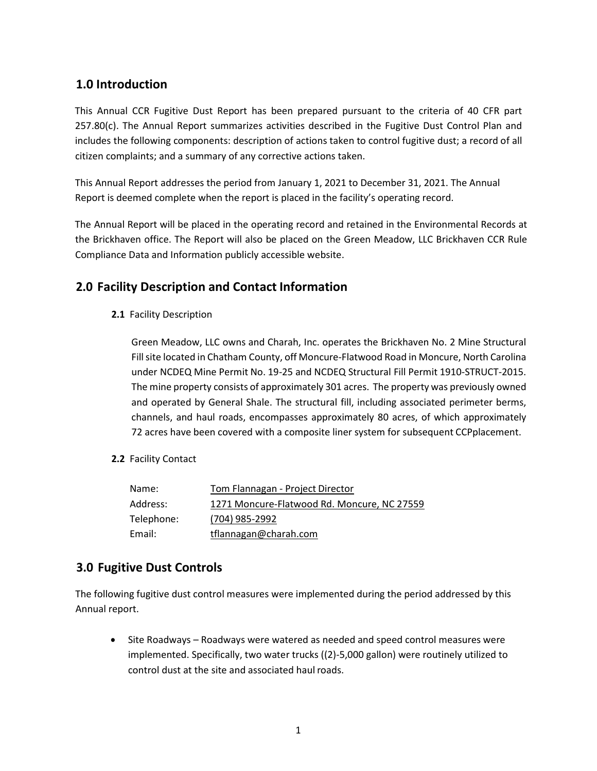#### 1.0 Introduction

This Annual CCR Fugitive Dust Report has been prepared pursuant to the criteria of 40 CFR part 257.80(c). The Annual Report summarizes activities described in the Fugitive Dust Control Plan and includes the following components: description of actions taken to control fugitive dust; a record of all citizen complaints; and a summary of any corrective actions taken.

This Annual Report addresses the period from January 1, 2021 to December 31, 2021. The Annual Report is deemed complete when the report is placed in the facility's operating record.

The Annual Report will be placed in the operating record and retained in the Environmental Records at the Brickhaven office. The Report will also be placed on the Green Meadow, LLC Brickhaven CCR Rule Compliance Data and Information publicly accessible website.

#### 2.0 Facility Description and Contact Information

2.1 Facility Description

Green Meadow, LLC owns and Charah, Inc. operates the Brickhaven No. 2 Mine Structural Fill site located in Chatham County, off Moncure‐Flatwood Road in Moncure, North Carolina under NCDEQ Mine Permit No. 19‐25 and NCDEQ Structural Fill Permit 1910‐STRUCT‐2015. The mine property consists of approximately 301 acres. The property was previously owned and operated by General Shale. The structural fill, including associated perimeter berms, channels, and haul roads, encompasses approximately 80 acres, of which approximately 72 acres have been covered with a composite liner system for subsequent CCPplacement.

#### 2.2 Facility Contact

| Name:      | Tom Flannagan - Project Director            |
|------------|---------------------------------------------|
| Address:   | 1271 Moncure-Flatwood Rd. Moncure, NC 27559 |
| Telephone: | (704) 985-2992                              |
| Email:     | tflannagan@charah.com                       |

#### 3.0 Fugitive Dust Controls

The following fugitive dust control measures were implemented during the period addressed by this Annual report.

 Site Roadways – Roadways were watered as needed and speed control measures were implemented. Specifically, two water trucks ((2)‐5,000 gallon) were routinely utilized to control dust at the site and associated haul roads.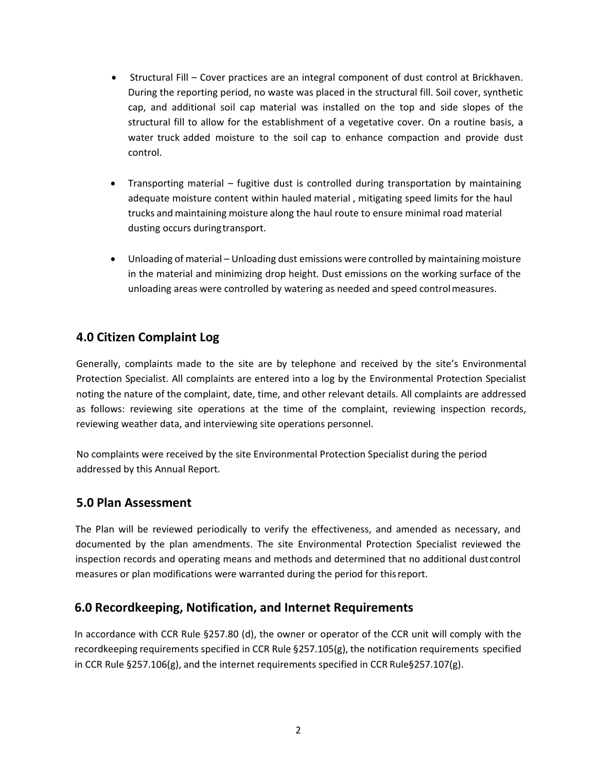- Structural Fill Cover practices are an integral component of dust control at Brickhaven. During the reporting period, no waste was placed in the structural fill. Soil cover, synthetic cap, and additional soil cap material was installed on the top and side slopes of the structural fill to allow for the establishment of a vegetative cover. On a routine basis, a water truck added moisture to the soil cap to enhance compaction and provide dust control.
- Transporting material fugitive dust is controlled during transportation by maintaining adequate moisture content within hauled material , mitigating speed limits for the haul trucks and maintaining moisture along the haul route to ensure minimal road material dusting occurs during transport.
- Unloading of material Unloading dust emissions were controlled by maintaining moisture in the material and minimizing drop height. Dust emissions on the working surface of the unloading areas were controlled by watering as needed and speed control measures.

### 4.0 Citizen Complaint Log

Generally, complaints made to the site are by telephone and received by the site's Environmental Protection Specialist. All complaints are entered into a log by the Environmental Protection Specialist noting the nature of the complaint, date, time, and other relevant details. All complaints are addressed as follows: reviewing site operations at the time of the complaint, reviewing inspection records, reviewing weather data, and interviewing site operations personnel.

No complaints were received by the site Environmental Protection Specialist during the period addressed by this Annual Report.

#### 5.0 Plan Assessment

The Plan will be reviewed periodically to verify the effectiveness, and amended as necessary, and documented by the plan amendments. The site Environmental Protection Specialist reviewed the inspection records and operating means and methods and determined that no additional dust control measures or plan modifications were warranted during the period for this report.

#### 6.0 Recordkeeping, Notification, and Internet Requirements

In accordance with CCR Rule §257.80 (d), the owner or operator of the CCR unit will comply with the recordkeeping requirements specified in CCR Rule §257.105(g), the notification requirements specified in CCR Rule §257.106(g), and the internet requirements specified in CCR Rule§257.107(g).